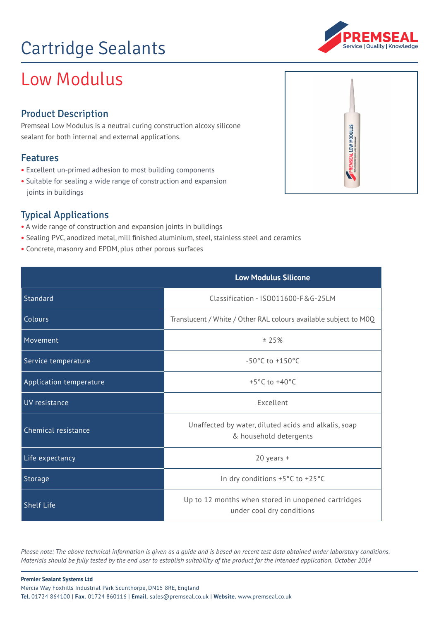# Cartridge Sealants

## Low Modulus

### Product Description

Premseal Low Modulus is a neutral curing construction alcoxy silicone sealant for both internal and external applications.

### Features

- **•** Excellent un-primed adhesion to most building components
- Suitable for sealing a wide range of construction and expansion joints in buildings

### Typical Applications

- **•** A wide range of construction and expansion joints in buildings
- **•** Sealing PVC, anodized metal, mill finished aluminium, steel, stainless steel and ceramics
- **•** Concrete, masonry and EPDM, plus other porous surfaces

|                         | <b>Low Modulus Silicone</b>                                                     |
|-------------------------|---------------------------------------------------------------------------------|
| Standard                | Classification - ISO011600-F&G-25LM                                             |
| Colours                 | Translucent / White / Other RAL colours available subject to M0Q                |
| Movement                | ± 25%                                                                           |
| Service temperature     | $-50^{\circ}$ C to $+150^{\circ}$ C                                             |
| Application temperature | $+5^{\circ}$ C to $+40^{\circ}$ C                                               |
| UV resistance           | Excellent                                                                       |
| Chemical resistance     | Unaffected by water, diluted acids and alkalis, soap<br>& household detergents  |
| Life expectancy         | $20$ years +                                                                    |
| Storage                 | In dry conditions +5°C to +25°C                                                 |
| <b>Shelf Life</b>       | Up to 12 months when stored in unopened cartridges<br>under cool dry conditions |

*Please note: The above technical information is given as a guide and is based on recent test data obtained under laboratory conditions. Materials should be fully tested by the end user to establish suitability of the product for the intended application. October 2014*